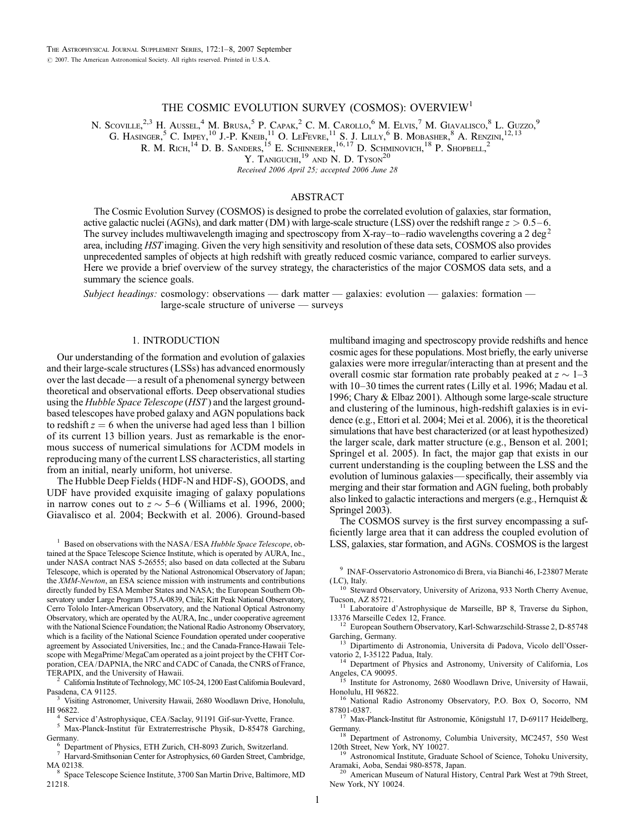# THE COSMIC EVOLUTION SURVEY (COSMOS): OVERVIEW<sup>1</sup>

N. SCOVILLE,<sup>2,3</sup> H. Aussel,<sup>4</sup> M. Brusa,<sup>5</sup> P. Capak,<sup>2</sup> C. M. Carollo,<sup>6</sup> M. Elvis,<sup>7</sup> M. Giavalisco,<sup>8</sup> L. Guzzo,<sup>9</sup> G. HASINGER,  $^5$  C. Impey,  $^{10}$  J.-P. Kneib,  $^{11}$  O. LeFevre,  $^{11}$  S. J. Lilly,  $^6$  B. Mobasher,  $^8$  A. Renzini,  $^{12,13}$ R. M. Rich,  $^{14}$  D. B. Sanders,  $^{15}$  E. Schinnerer,  $^{16, 17}$  D. Schminovich,  $^{18}$  P. Shopbell,  $^{2}$ 

Y. TANIGUCHI,<sup>19</sup> AND N. D. TYSON<sup>20</sup>

Received 2006 April 25; accepted 2006 June 28

# ABSTRACT

The Cosmic Evolution Survey (COSMOS) is designed to probe the correlated evolution of galaxies, star formation, active galactic nuclei (AGNs), and dark matter (DM) with large-scale structure (LSS) over the redshift range  $z > 0.5-6$ . The survey includes multiwavelength imaging and spectroscopy from X-ray-to-radio wavelengths covering a 2 deg<sup>2</sup> area, including HST imaging. Given the very high sensitivity and resolution of these data sets, COSMOS also provides unprecedented samples of objects at high redshift with greatly reduced cosmic variance, compared to earlier surveys. Here we provide a brief overview of the survey strategy, the characteristics of the major COSMOS data sets, and a summary the science goals.

Subject headings: cosmology: observations — dark matter — galaxies: evolution — galaxies: formation large-scale structure of universe — surveys

### 1. INTRODUCTION

Our understanding of the formation and evolution of galaxies and their large-scale structures (LSSs) has advanced enormously over the last decade—a result of a phenomenal synergy between theoretical and observational efforts. Deep observational studies using the Hubble Space Telescope (HST) and the largest groundbased telescopes have probed galaxy and AGN populations back to redshift  $z = 6$  when the universe had aged less than 1 billion of its current 13 billion years. Just as remarkable is the enormous success of numerical simulations for  $\Lambda$ CDM models in reproducing many of the current LSS characteristics, all starting from an initial, nearly uniform, hot universe.

The Hubble Deep Fields (HDF-N and HDF-S), GOODS, and UDF have provided exquisite imaging of galaxy populations in narrow cones out to  $z \sim 5-6$  (Williams et al. 1996, 2000; Giavalisco et al. 2004; Beckwith et al. 2006). Ground-based

tained at the Space Telescope Science Institute, which is operated by AURA, Inc., under NASA contract NAS 5-26555; also based on data collected at the Subaru Telescope, which is operated by the National Astronomical Observatory of Japan; the XMM-Newton, an ESA science mission with instruments and contributions directly funded by ESA Member States and NASA; the European Southern Observatory under Large Program 175.A-0839, Chile; Kitt Peak National Observatory, Cerro Tololo Inter-American Observatory, and the National Optical Astronomy Observatory, which are operated by the AURA, Inc., under cooperative agreement with the National Science Foundation; the National Radio Astronomy Observatory, which is a facility of the National Science Foundation operated under cooperative agreement by Associated Universities, Inc.; and the Canada-France-Hawaii Telescope with MegaPrime/MegaCam operated as a joint project by the CFHT Corporation, CEA/DAPNIA, the NRC and CADC of Canada, the CNRS of France,

 $2$  California Institute of Technology, MC 105-24, 1200 East California Boulevard, Pasadena, CA 91125. <sup>3</sup> Visiting Astronomer, University Hawaii, 2680 Woodlawn Drive, Honolulu,

HI 96822.<br><sup>4</sup> Service d'Astrophysique, CEA/Saclay, 91191 Gif-sur-Yvette, France.<br><sup>5</sup> Max-Planck-Institut für Extraterrestrische Physik, D-85478 Garching,

Germany.<br>
<sup>6</sup> Department of Physics, ETH Zurich, CH-8093 Zurich, Switzerland.<br>
<sup>7</sup> Harvard-Smithsonian Center for Astrophysics, 60 Garden Street, Cambridge,<br>
MA 02138.

Space Telescope Science Institute, 3700 San Martin Drive, Baltimore, MD 21218.

multiband imaging and spectroscopy provide redshifts and hence cosmic ages for these populations. Most briefly, the early universe galaxies were more irregular/interacting than at present and the overall cosmic star formation rate probably peaked at  $z \sim 1-3$ with  $10-30$  times the current rates (Lilly et al. 1996; Madau et al. 1996; Chary & Elbaz 2001). Although some large-scale structure and clustering of the luminous, high-redshift galaxies is in evidence (e.g., Ettori et al. 2004; Mei et al. 2006), it is the theoretical simulations that have best characterized (or at least hypothesized) the larger scale, dark matter structure (e.g., Benson et al. 2001; Springel et al. 2005). In fact, the major gap that exists in our current understanding is the coupling between the LSS and the evolution of luminous galaxies—specifically, their assembly via merging and their star formation and AGN fueling, both probably also linked to galactic interactions and mergers (e.g., Hernquist & Springel 2003).

The COSMOS survey is the first survey encompassing a sufficiently large area that it can address the coupled evolution of <sup>1</sup> Based on observations with the NASA/ESA Hubble Space Telescope, ob-<br>LSS, galaxies, star formation, and AGNs. COSMOS is the largest

<sup>9</sup> INAF-Osservatorio Astronomico di Brera, via Bianchi 46, I-23807 Merate

Steward Observatory, University of Arizona, 933 North Cherry Avenue, Tucson, AZ 85721. <sup>11</sup> Laboratoire d'Astrophysique de Marseille, BP 8, Traverse du Siphon,

13376 Marseille Cedex 12, France.<br><sup>12</sup> European Southern Observatory, Karl-Schwarzschild-Strasse 2, D-85748<br>Garching, Germany.

<sup>13</sup> Dipartimento di Astronomia, Universita di Padova, Vicolo dell'Osser-<br>vatorio 2, I-35122 Padua, Italy.

<sup>14</sup> Department of Physics and Astronomy, University of California, Los Angeles, CA 90095.

<sup>15</sup> Institute for Astronomy, 2680 Woodlawn Drive, University of Hawaii,

Honolulu, HI 96822.<br><sup>16</sup> National Radio Astronomy Observatory, P.O. Box O, Socorro, NM<br>87801-0387

Max-Planck-Institut für Astronomie, Königstuhl 17, D-69117 Heidelberg,

Germany.<br><sup>18</sup> Department of Astronomy, Columbia University, MC2457, 550 West 120th Street, New York, NY 10027.<br><sup>19</sup> Astronomical Institute, Graduate School of Science, Tohoku University,

Aramaki, Aoba, Sendai 980-8578, Japan.<br><sup>20</sup> American Museum of Natural History, Central Park West at 79th Street,

New York, NY 10024.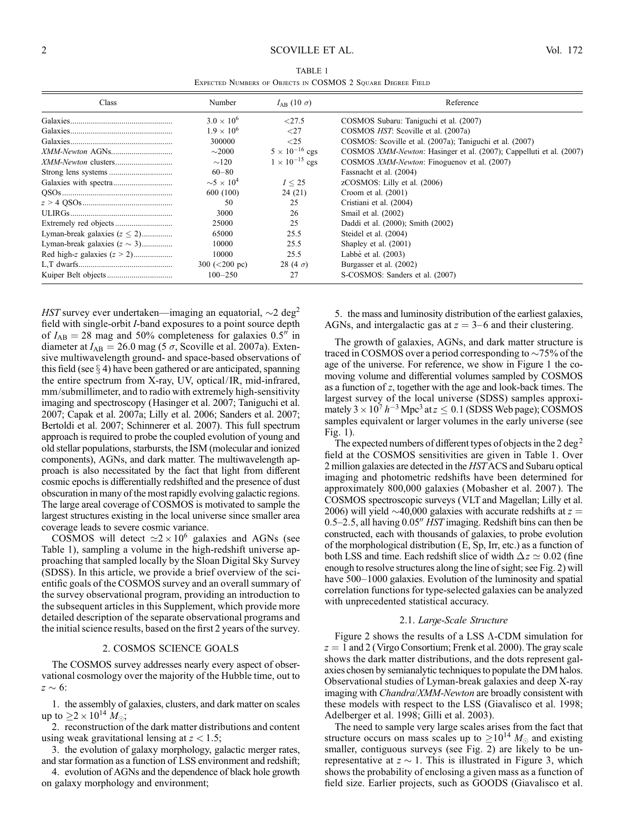TABLE 1 Expected Numbers of Objects in COSMOS 2 Square Degree Field

| Class                             | Number                            | $I_{AB}$ (10 $\sigma$ ) | Reference                                                           |  |  |
|-----------------------------------|-----------------------------------|-------------------------|---------------------------------------------------------------------|--|--|
|                                   | $3.0 \times 10^{6}$               | <27.5                   | COSMOS Subaru: Taniguchi et al. (2007)                              |  |  |
|                                   | $1.9 \times 10^{6}$               | ${<}27$                 | COSMOS <i>HST</i> : Scoville et al. (2007a)                         |  |  |
|                                   | 300000                            | $\leq$ 25               | COSMOS: Scoville et al. (2007a); Taniguchi et al. (2007)            |  |  |
|                                   | $\sim$ 2000                       | $5 \times 10^{-16}$ cgs | COSMOS XMM-Newton: Hasinger et al. (2007); Cappelluti et al. (2007) |  |  |
| XMM-Newton clusters               | $\sim$ 120                        | $1 \times 10^{-15}$ cgs | COSMOS XMM-Newton: Finoguenov et al. (2007)                         |  |  |
|                                   | $60 - 80$                         |                         | Fassnacht et al. (2004)                                             |  |  |
|                                   | $\sim$ 5 $\times$ 10 <sup>4</sup> | $I \leq 25$             | zCOSMOS: Lilly et al. (2006)                                        |  |  |
|                                   | 600 (100)                         | 24(21)                  | Croom et al. $(2001)$                                               |  |  |
|                                   | 50                                | 25                      | Cristiani et al. (2004)                                             |  |  |
|                                   | 3000                              | 26                      | Smail et al. (2002)                                                 |  |  |
|                                   | 25000                             | 25                      | Daddi et al. (2000); Smith (2002)                                   |  |  |
| Lyman-break galaxies $(z < 2)$    | 65000                             | 25.5                    | Steidel et al. (2004)                                               |  |  |
| Lyman-break galaxies $(z \sim 3)$ | 10000                             | 25.5                    | Shapley et al. (2001)                                               |  |  |
|                                   | 10000                             | 25.5                    | Labbé et al. (2003)                                                 |  |  |
|                                   | $300 \; (<200 \; \text{pc})$      | 28 (4 $\sigma$ )        | Burgasser et al. (2002)                                             |  |  |
|                                   | $100 - 250$                       | 27                      | S-COSMOS: Sanders et al. (2007)                                     |  |  |

HST survey ever undertaken—imaging an equatorial,  $\sim$ 2 deg<sup>2</sup> field with single-orbit I-band exposures to a point source depth of  $I_{AB} = 28$  mag and 50% completeness for galaxies 0.5<sup>*n*</sup> in diameter at  $I_{AB} = 26.0$  mag (5  $\sigma$ , Scoville et al. 2007a). Extensive multiwavelength ground- and space-based observations of this field (see  $\S$  4) have been gathered or are anticipated, spanning the entire spectrum from X-ray, UV, optical/ IR, mid-infrared, mm/submillimeter, and to radio with extremely high-sensitivity imaging and spectroscopy (Hasinger et al. 2007; Taniguchi et al. 2007; Capak et al. 2007a; Lilly et al. 2006; Sanders et al. 2007; Bertoldi et al. 2007; Schinnerer et al. 2007). This full spectrum approach is required to probe the coupled evolution of young and old stellar populations, starbursts, the ISM (molecular and ionized components), AGNs, and dark matter. The multiwavelength approach is also necessitated by the fact that light from different cosmic epochs is differentially redshifted and the presence of dust obscuration in many of the most rapidly evolving galactic regions. The large areal coverage of COSMOS is motivated to sample the largest structures existing in the local universe since smaller area coverage leads to severe cosmic variance.

COSMOS will detect  $\approx 2 \times 10^6$  galaxies and AGNs (see Table 1), sampling a volume in the high-redshift universe approaching that sampled locally by the Sloan Digital Sky Survey (SDSS). In this article, we provide a brief overview of the scientific goals of the COSMOS survey and an overall summary of the survey observational program, providing an introduction to the subsequent articles in this Supplement, which provide more detailed description of the separate observational programs and the initial science results, based on the first 2 years of the survey.

## 2. COSMOS SCIENCE GOALS

The COSMOS survey addresses nearly every aspect of observational cosmology over the majority of the Hubble time, out to  $z \sim 6$ 

1. the assembly of galaxies, clusters, and dark matter on scales up to  $\geq$  2  $\times$  10<sup>14</sup>  $M_{\odot}$ ;

2. reconstruction of the dark matter distributions and content using weak gravitational lensing at  $z < 1.5$ ;

3. the evolution of galaxy morphology, galactic merger rates, and star formation as a function of LSS environment and redshift;

4. evolution of AGNs and the dependence of black hole growth on galaxy morphology and environment;

5. the mass and luminosity distribution of the earliest galaxies, AGNs, and intergalactic gas at  $z = 3-6$  and their clustering.

The growth of galaxies, AGNs, and dark matter structure is traced in COSMOS over a period corresponding to  $\sim$ 75% of the age of the universe. For reference, we show in Figure 1 the comoving volume and differential volumes sampled by COSMOS as a function of z, together with the age and look-back times. The largest survey of the local universe (SDSS) samples approximately  $3 \times 10^7 h^{-3}$  Mpc<sup>3</sup> at  $z \le 0.1$  (SDSS Web page); COSMOS samples equivalent or larger volumes in the early universe (see Fig. 1).

The expected numbers of different types of objects in the 2 deg<sup>2</sup> field at the COSMOS sensitivities are given in Table 1. Over 2 million galaxies are detected in the HSTACS and Subaru optical imaging and photometric redshifts have been determined for approximately 800,000 galaxies (Mobasher et al. 2007 ). The COSMOS spectroscopic surveys (VLT and Magellan; Lilly et al. 2006) will yield  $\sim$ 40,000 galaxies with accurate redshifts at  $z =$ 0.5-2.5, all having  $0.05''$  HST imaging. Redshift bins can then be constructed, each with thousands of galaxies, to probe evolution of the morphological distribution (E, Sp, Irr, etc.) as a function of both LSS and time. Each redshift slice of width  $\Delta z \simeq 0.02$  (fine enough to resolve structures along the line of sight; see Fig. 2) will have  $500-1000$  galaxies. Evolution of the luminosity and spatial correlation functions for type-selected galaxies can be analyzed with unprecedented statistical accuracy.

### 2.1. Large-Scale Structure

Figure 2 shows the results of a LSS  $\Lambda$ -CDM simulation for  $z = 1$  and 2 (Virgo Consortium; Frenk et al. 2000). The gray scale shows the dark matter distributions, and the dots represent galaxies chosen by semianalytic techniques to populate the DM halos. Observational studies of Lyman-break galaxies and deep X-ray imaging with Chandra/XMM-Newton are broadly consistent with these models with respect to the LSS (Giavalisco et al. 1998; Adelberger et al. 1998; Gilli et al. 2003).

The need to sample very large scales arises from the fact that structure occurs on mass scales up to  $\geq 10^{14} M_{\odot}$  and existing smaller, contiguous surveys (see Fig. 2) are likely to be unrepresentative at  $z \sim 1$ . This is illustrated in Figure 3, which shows the probability of enclosing a given mass as a function of field size. Earlier projects, such as GOODS (Giavalisco et al.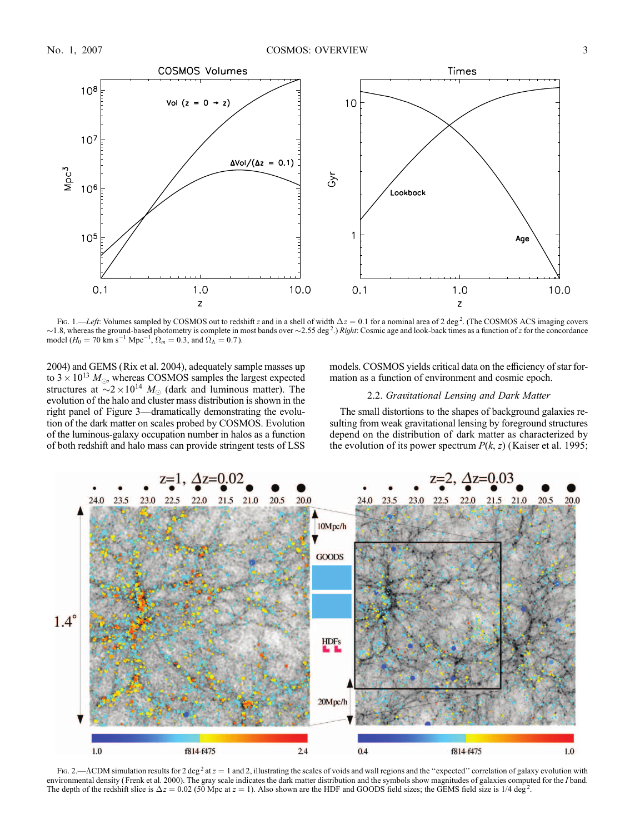

Fig. 1.—Left: Volumes sampled by COSMOS out to redshift z and in a shell of width  $\Delta z = 0.1$  for a nominal area of 2 deg<sup>2</sup>. (The COSMOS ACS imaging covers  $\sim$ 1.8, whereas the ground-based photometry is complete in most bands over  $\sim$  2.55 deg<sup>2</sup>.) Right: Cosmic age and look-back times as a function of z for the concordance model ( $H_0 = 70 \text{ km s}^{-1} \text{ Mpc}^{-1}$ ,  $\Omega_m = 0.3$ , and  $\Omega_{\Lambda} = 0.7$ ).

2004) and GEMS (Rix et al. 2004), adequately sample masses up to  $3 \times 10^{13}$   $M_{\odot}$ , whereas COSMOS samples the largest expected structures at  $\sim$ 2 × 10<sup>14</sup>  $M_{\odot}$  (dark and luminous matter). The evolution of the halo and cluster mass distribution is shown in the right panel of Figure 3—dramatically demonstrating the evolution of the dark matter on scales probed by COSMOS. Evolution of the luminous-galaxy occupation number in halos as a function of both redshift and halo mass can provide stringent tests of LSS models. COSMOS yields critical data on the efficiency of star formation as a function of environment and cosmic epoch.

# 2.2. Gravitational Lensing and Dark Matter

The small distortions to the shapes of background galaxies resulting from weak gravitational lensing by foreground structures depend on the distribution of dark matter as characterized by the evolution of its power spectrum  $P(k, z)$  (Kaiser et al. 1995;



Fig. 2.—ACDM simulation results for 2 deg<sup>2</sup> at  $z = 1$  and 2, illustrating the scales of voids and wall regions and the "expected" correlation of galaxy evolution with environmental density ( Frenk et al. 2000). The gray scale indicates the dark matter distribution and the symbols show magnitudes of galaxies computed for the I band. The depth of the redshift slice is  $\Delta z = 0.02$  (50 Mpc at  $z = 1$ ). Also shown are the HDF and GOODS field sizes; the GEMS field size is 1/4 deg<sup>2</sup>.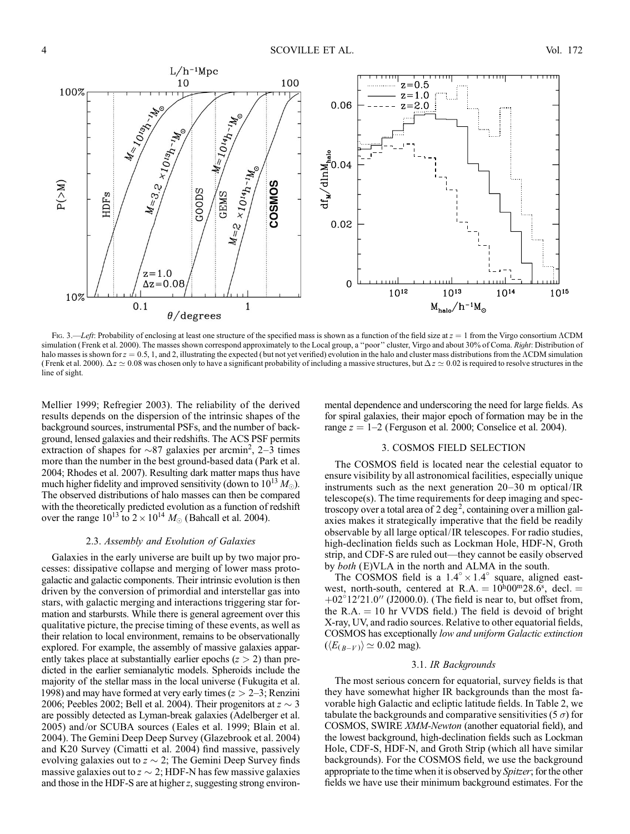

Fig. 3.—Left: Probability of enclosing at least one structure of the specified mass is shown as a function of the field size at  $z = 1$  from the Virgo consortium ACDM simulation (Frenk et al. 2000). The masses shown correspond approximately to the Local group, a "poor" cluster, Virgo and about 30% of Coma. Right: Distribution of halo masses is shown for  $z = 0.5$ , 1, and 2, illustrating the expected (but not yet verified) evolution in the halo and cluster mass distributions from the  $\Lambda$ CDM simulation (Frenk et al. 2000).  $\Delta z \simeq 0.08$  was chosen only to have a significant probability of including a massive structures, but  $\Delta z \simeq 0.02$  is required to resolve structures in the line of sight.

Mellier 1999; Refregier 2003). The reliability of the derived results depends on the dispersion of the intrinsic shapes of the background sources, instrumental PSFs, and the number of background, lensed galaxies and their redshifts. The ACS PSF permits extraction of shapes for  $\sim 87$  galaxies per arcmin<sup>2</sup>, 2-3 times more than the number in the best ground-based data (Park et al. 2004; Rhodes et al. 2007). Resulting dark matter maps thus have much higher fidelity and improved sensitivity (down to  $10^{13} M_{\odot}$ ). The observed distributions of halo masses can then be compared with the theoretically predicted evolution as a function of redshift over the range  $10^{13}$  to  $2 \times 10^{14}$   $M_{\odot}$  (Bahcall et al. 2004).

#### 2.3. Assembly and Evolution of Galaxies

Galaxies in the early universe are built up by two major processes: dissipative collapse and merging of lower mass protogalactic and galactic components. Their intrinsic evolution is then driven by the conversion of primordial and interstellar gas into stars, with galactic merging and interactions triggering star formation and starbursts. While there is general agreement over this qualitative picture, the precise timing of these events, as well as their relation to local environment, remains to be observationally explored. For example, the assembly of massive galaxies apparently takes place at substantially earlier epochs  $(z > 2)$  than predicted in the earlier semianalytic models. Spheroids include the majority of the stellar mass in the local universe (Fukugita et al. 1998) and may have formed at very early times ( $z > 2-3$ ; Renzini 2006; Peebles 2002; Bell et al. 2004). Their progenitors at  $z \sim 3$ are possibly detected as Lyman-break galaxies (Adelberger et al. 2005) and/or SCUBA sources (Eales et al. 1999; Blain et al. 2004). The Gemini Deep Deep Survey (Glazebrook et al. 2004) and K20 Survey (Cimatti et al. 2004) find massive, passively evolving galaxies out to  $z \sim 2$ ; The Gemini Deep Survey finds massive galaxies out to  $z \sim 2$ ; HDF-N has few massive galaxies and those in the HDF-S are at higher  $z$ , suggesting strong environmental dependence and underscoring the need for large fields. As for spiral galaxies, their major epoch of formation may be in the range  $z = 1-2$  (Ferguson et al. 2000; Conselice et al. 2004).

### 3. COSMOS FIELD SELECTION

The COSMOS field is located near the celestial equator to ensure visibility by all astronomical facilities, especially unique instruments such as the next generation  $20-30$  m optical/IR telescope(s). The time requirements for deep imaging and spectroscopy over a total area of 2 deg<sup>2</sup>, containing over a million galaxies makes it strategically imperative that the field be readily observable by all large optical/ IR telescopes. For radio studies, high-declination fields such as Lockman Hole, HDF-N, Groth strip, and CDF-S are ruled out—they cannot be easily observed by both (E)VLA in the north and ALMA in the south.

The COSMOS field is a  $1.4^{\circ} \times 1.4^{\circ}$  square, aligned eastwest, north-south, centered at R.A.  $= 10^{h}00^{m}28.6^{s}$ , decl.  $=$  $+02^{\circ}12'21.0''$  (J2000.0). (The field is near to, but offset from, the R.A.  $= 10$  hr VVDS field.) The field is devoid of bright X-ray, UV, and radio sources. Relative to other equatorial fields, COSMOS has exceptionally low and uniform Galactic extinction  $(\langle E_{(B-V)} \rangle \simeq 0.02$  mag).

## 3.1. IR Backgrounds

The most serious concern for equatorial, survey fields is that they have somewhat higher IR backgrounds than the most favorable high Galactic and ecliptic latitude fields. In Table 2, we tabulate the backgrounds and comparative sensitivities (5  $\sigma$ ) for COSMOS, SWIRE XMM-Newton (another equatorial field), and the lowest background, high-declination fields such as Lockman Hole, CDF-S, HDF-N, and Groth Strip (which all have similar backgrounds). For the COSMOS field, we use the background appropriate to the time when it is observed by Spitzer; for the other fields we have use their minimum background estimates. For the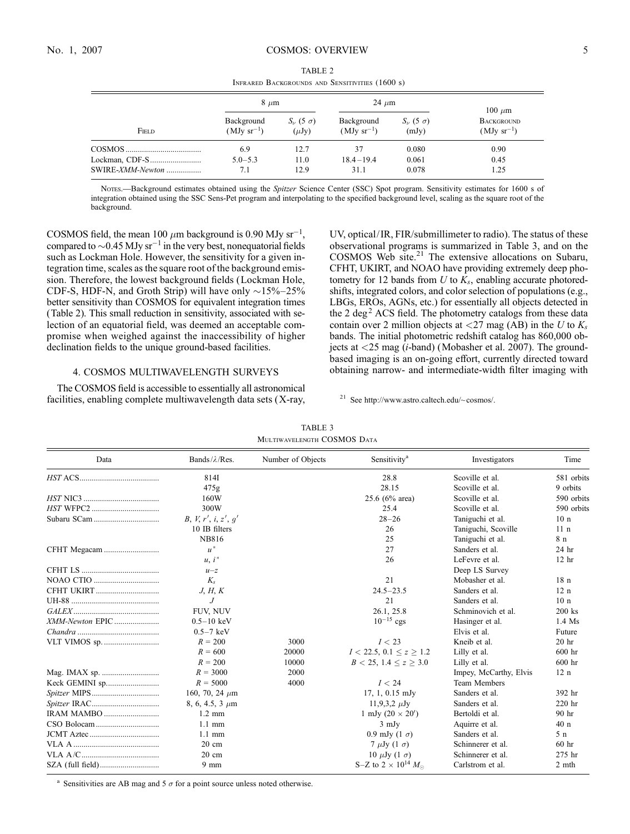| × |
|---|

|                  | $8 \mu m$                     |                                       | 24 $\mu$ m                    |                                  |                                                       |  |
|------------------|-------------------------------|---------------------------------------|-------------------------------|----------------------------------|-------------------------------------------------------|--|
| FIELD            | Background<br>$(MJy sr^{-1})$ | $S_{\nu}$ (5 $\sigma$ )<br>$(\mu Jy)$ | Background<br>$(MJy sr^{-1})$ | $S_{\nu}$ (5 $\sigma$ )<br>(mJy) | $100 \ \mu m$<br><b>BACKGROUND</b><br>$(MJy sr^{-1})$ |  |
| SWIRE-XMM-Newton | 6.9<br>$5.0 - 5.3$<br>7.1     | 12.7<br>11.0<br>12.9                  | 37<br>$18.4 - 19.4$<br>31.1   | 0.080<br>0.061<br>0.078          | 0.90<br>0.45<br>1.25                                  |  |

TABLE 2 Infrared Backgrounds and Sensitivities (1600 s)

NOTES.—Background estimates obtained using the Spitzer Science Center (SSC) Spot program. Sensitivity estimates for 1600 s of integration obtained using the SSC Sens-Pet program and interpolating to the specified background level, scaling as the square root of the background.

COSMOS field, the mean 100  $\mu$ m background is 0.90 MJy sr<sup>-1</sup>, compared to  $\sim$  0.45 MJy sr<sup>-1</sup> in the very best, nonequatorial fields such as Lockman Hole. However, the sensitivity for a given integration time, scales as the square root of the background emission. Therefore, the lowest background fields (Lockman Hole, CDF-S, HDF-N, and Groth Strip) will have only  $\sim$ 15%-25% better sensitivity than COSMOS for equivalent integration times (Table 2). This small reduction in sensitivity, associated with selection of an equatorial field, was deemed an acceptable compromise when weighed against the inaccessibility of higher declination fields to the unique ground-based facilities.

#### 4. COSMOS MULTIWAVELENGTH SURVEYS

The COSMOS field is accessible to essentially all astronomical facilities, enabling complete multiwavelength data sets (X-ray,

UV, optical/IR, FIR/submillimeter to radio). The status of these observational programs is summarized in Table 3, and on the COSMOS Web site.<sup>21</sup> The extensive allocations on Subaru, CFHT, UKIRT, and NOAO have providing extremely deep photometry for 12 bands from  $U$  to  $K_s$ , enabling accurate photoredshifts, integrated colors, and color selection of populations (e.g., LBGs, EROs, AGNs, etc.) for essentially all objects detected in the 2 deg<sup>2</sup> ACS field. The photometry catalogs from these data contain over 2 million objects at  $\langle 27 \rangle$  mag (AB) in the U to  $K_s$ bands. The initial photometric redshift catalog has 860,000 objects at <25 mag (i-band) (Mobasher et al. 2007). The groundbased imaging is an on-going effort, currently directed toward obtaining narrow- and intermediate-width filter imaging with

<sup>21</sup> See http://www.astro.caltech.edu/~ cosmos/.

| MULTIWAVELENGTH COSMOS DATA |                        |                   |                                                |                        |                  |
|-----------------------------|------------------------|-------------------|------------------------------------------------|------------------------|------------------|
| Data                        | Bands/ $\lambda$ /Res. | Number of Objects | Sensitivity <sup>a</sup>                       | Investigators          | Time             |
|                             | 8141                   |                   | 28.8                                           | Scoville et al.        | 581 orbits       |
|                             | 475g                   |                   | 28.15                                          | Scoville et al.        | 9 orbits         |
|                             | 160W                   |                   | 25.6 (6% area)                                 | Scoville et al.        | 590 orbits       |
|                             | 300W                   |                   | 25.4                                           | Scoville et al.        | 590 orbits       |
|                             | B, V, r', i, z', q'    |                   | $28 - 26$                                      | Taniguchi et al.       | 10 <sub>n</sub>  |
|                             | 10 IB filters          |                   | 26                                             | Taniguchi, Scoville    | 11 <sub>n</sub>  |
|                             | NB816                  |                   | 25                                             | Taniguchi et al.       | 8 n              |
|                             | $u^*$                  |                   | 27                                             | Sanders et al.         | 24 <sub>hr</sub> |
|                             | $u, i^*$               |                   | 26                                             | LeFevre et al.         | 12 <sup>hr</sup> |
|                             | $u-z$                  |                   |                                                | Deep LS Survey         |                  |
|                             | $K_{s}$                |                   | 21                                             | Mobasher et al.        | 18 <sub>n</sub>  |
|                             | J, H, K                |                   | $24.5 - 23.5$                                  | Sanders et al.         | 12 <sub>n</sub>  |
|                             | $\overline{J}$         |                   | 21                                             | Sanders et al.         | 10 <sub>n</sub>  |
|                             | FUV, NUV               |                   | 26.1, 25.8                                     | Schminovich et al.     | $200$ ks         |
| XMM-Newton EPIC             | $0.5 - 10~\text{keV}$  |                   | $10^{-15}$ cgs                                 | Hasinger et al.        | $1.4$ Ms         |
|                             | $0.5 - 7$ keV          |                   |                                                | Elvis et al.           | Future           |
|                             | $R = 200$              | 3000              | I < 23                                         | Kneib et al.           | 20 <sub>hr</sub> |
|                             | $R = 600$              | 20000             | $I < 22.5, 0.1 \le z \ge 1.2$                  | Lilly et al.           | 600 hr           |
|                             | $R = 200$              | 10000             | $B < 25$ , 1.4 $\le z > 3.0$                   | Lilly et al.           | 600 hr           |
|                             | $R = 3000$             | 2000              |                                                | Impey, McCarthy, Elvis | 12 <sub>n</sub>  |
|                             | $R = 5000$             | 4000              | I < 24                                         | Team Members           |                  |
|                             | 160, 70, 24 $\mu$ m    |                   | 17, 1, 0.15 mJy                                | Sanders et al.         | 392 hr           |
|                             | 8, 6, 4.5, 3 $\mu$ m   |                   | 11,9,3,2 $\mu$ Jy                              | Sanders et al.         | 220 hr           |
| IRAM MAMBO                  | $1.2 \text{ mm}$       |                   | 1 mJy $(20 \times 20')$                        | Bertoldi et al.        | 90 <sub>hr</sub> |
|                             | $1.1$ mm               |                   | $3 \text{ mJy}$                                | Aquirre et al.         | 40 <sub>n</sub>  |
| <b>JCMT Aztec </b>          | $1.1 \text{ mm}$       |                   | 0.9 mJy $(1 \sigma)$                           | Sanders et al.         | 5 <sub>n</sub>   |
|                             | $20 \text{ cm}$        |                   | $7 \mu Jy (1 \sigma)$                          | Schinnerer et al.      | 60 <sub>hr</sub> |
|                             | $20 \text{ cm}$        |                   | 10 $\mu$ Jy (1 $\sigma$ )                      | Schinnerer et al.      | 275 hr           |
|                             | $9~\mathrm{mm}$        |                   | S-Z to 2 $\times$ 10 <sup>14</sup> $M_{\odot}$ | Carlstrom et al.       | 2 mth            |

TABLE 3

<sup>a</sup> Sensitivities are AB mag and 5  $\sigma$  for a point source unless noted otherwise.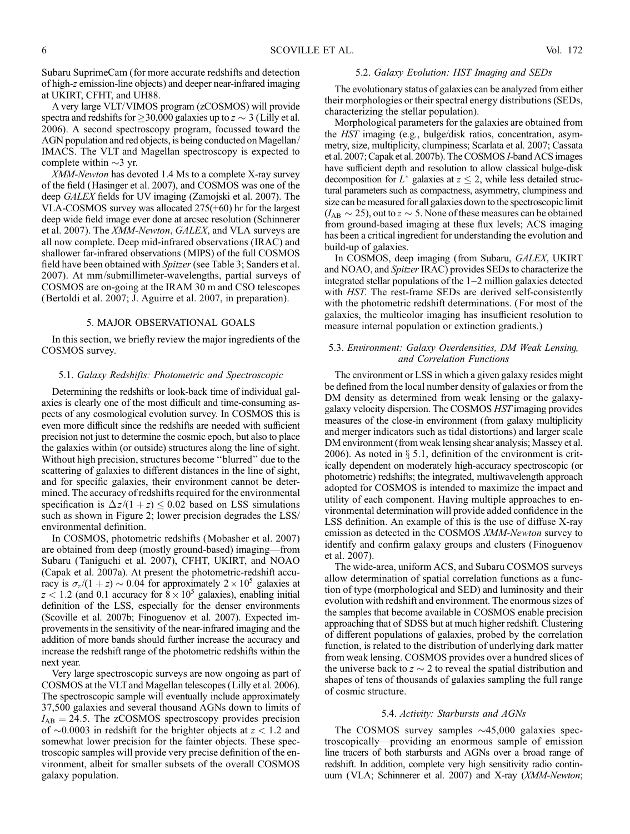Subaru SuprimeCam (for more accurate redshifts and detection of high-z emission-line objects) and deeper near-infrared imaging at UKIRT, CFHT, and UH88.

A very large VLT/VIMOS program (zCOSMOS) will provide spectra and redshifts for  $\geq$ 30,000 galaxies up to  $z \sim$  3 (Lilly et al. 2006). A second spectroscopy program, focussed toward the AGN population and red objects, is being conducted on Magellan/ IMACS. The VLT and Magellan spectroscopy is expected to complete within  $\sim$ 3 yr.

XMM-Newton has devoted 1.4 Ms to a complete X-ray survey of the field (Hasinger et al. 2007), and COSMOS was one of the deep GALEX fields for UV imaging (Zamojski et al. 2007). The VLA-COSMOS survey was allocated 275(+60) hr for the largest deep wide field image ever done at arcsec resolution (Schinnerer et al. 2007). The *XMM-Newton*, *GALEX*, and VLA surveys are all now complete. Deep mid-infrared observations (IRAC) and shallower far-infrared observations (MIPS) of the full COSMOS field have been obtained with Spitzer (see Table 3; Sanders et al. 2007). At mm/submillimeter-wavelengths, partial surveys of COSMOS are on-going at the IRAM 30 m and CSO telescopes (Bertoldi et al. 2007; J. Aguirre et al. 2007, in preparation).

## 5. MAJOR OBSERVATIONAL GOALS

In this section, we briefly review the major ingredients of the COSMOS survey.

### 5.1. Galaxy Redshifts: Photometric and Spectroscopic

Determining the redshifts or look-back time of individual galaxies is clearly one of the most difficult and time-consuming aspects of any cosmological evolution survey. In COSMOS this is even more difficult since the redshifts are needed with sufficient precision not just to determine the cosmic epoch, but also to place the galaxies within (or outside) structures along the line of sight. Without high precision, structures become ''blurred'' due to the scattering of galaxies to different distances in the line of sight, and for specific galaxies, their environment cannot be determined. The accuracy of redshifts required for the environmental specification is  $\Delta z/(1 + z) \leq 0.02$  based on LSS simulations such as shown in Figure 2; lower precision degrades the LSS/ environmental definition.

In COSMOS, photometric redshifts (Mobasher et al. 2007) are obtained from deep (mostly ground-based) imaging—from Subaru (Taniguchi et al. 2007), CFHT, UKIRT, and NOAO (Capak et al. 2007a). At present the photometric-redshift accuracy is  $\sigma_z/(1 + z) \sim 0.04$  for approximately  $2 \times 10^5$  galaxies at  $z < 1.2$  (and 0.1 accuracy for  $8 \times 10^5$  galaxies), enabling initial definition of the LSS, especially for the denser environments (Scoville et al. 2007b; Finoguenov et al. 2007). Expected improvements in the sensitivity of the near-infrared imaging and the addition of more bands should further increase the accuracy and increase the redshift range of the photometric redshifts within the next year.

Very large spectroscopic surveys are now ongoing as part of COSMOS at the VLT and Magellan telescopes (Lilly et al. 2006). The spectroscopic sample will eventually include approximately 37,500 galaxies and several thousand AGNs down to limits of  $I_{AB} = 24.5$ . The zCOSMOS spectroscopy provides precision of  $\sim 0.0003$  in redshift for the brighter objects at  $z < 1.2$  and somewhat lower precision for the fainter objects. These spectroscopic samples will provide very precise definition of the environment, albeit for smaller subsets of the overall COSMOS galaxy population.

#### 5.2. Galaxy Evolution: HST Imaging and SEDs

The evolutionary status of galaxies can be analyzed from either their morphologies or their spectral energy distributions (SEDs, characterizing the stellar population).

Morphological parameters for the galaxies are obtained from the HST imaging (e.g., bulge/disk ratios, concentration, asymmetry, size, multiplicity, clumpiness; Scarlata et al. 2007; Cassata et al. 2007; Capak et al. 2007b). The COSMOS I-band ACS images have sufficient depth and resolution to allow classical bulge-disk decomposition for  $L^*$  galaxies at  $z \leq 2$ , while less detailed structural parameters such as compactness, asymmetry, clumpiness and size can be measured for all galaxies down to the spectroscopic limit  $(I_{AB} \sim 25)$ , out to  $z \sim 5$ . None of these measures can be obtained from ground-based imaging at these flux levels; ACS imaging has been a critical ingredient for understanding the evolution and build-up of galaxies.

In COSMOS, deep imaging (from Subaru, GALEX, UKIRT and NOAO, and Spitzer IRAC) provides SEDs to characterize the integrated stellar populations of the  $1-2$  million galaxies detected with *HST*. The rest-frame SEDs are derived self-consistently with the photometric redshift determinations. (For most of the galaxies, the multicolor imaging has insufficient resolution to measure internal population or extinction gradients.)

# 5.3. Environment: Galaxy Overdensities, DM Weak Lensing, and Correlation Functions

The environment or LSS in which a given galaxy resides might be defined from the local number density of galaxies or from the DM density as determined from weak lensing or the galaxygalaxy velocity dispersion. The COSMOS HST imaging provides measures of the close-in environment (from galaxy multiplicity and merger indicators such as tidal distortions) and larger scale DM environment (from weak lensing shear analysis; Massey et al. 2006). As noted in  $\S$  5.1, definition of the environment is critically dependent on moderately high-accuracy spectroscopic (or photometric) redshifts; the integrated, multiwavelength approach adopted for COSMOS is intended to maximize the impact and utility of each component. Having multiple approaches to environmental determination will provide added confidence in the LSS definition. An example of this is the use of diffuse X-ray emission as detected in the COSMOS XMM-Newton survey to identify and confirm galaxy groups and clusters (Finoguenov et al. 2007).

The wide-area, uniform ACS, and Subaru COSMOS surveys allow determination of spatial correlation functions as a function of type (morphological and SED) and luminosity and their evolution with redshift and environment. The enormous sizes of the samples that become available in COSMOS enable precision approaching that of SDSS but at much higher redshift. Clustering of different populations of galaxies, probed by the correlation function, is related to the distribution of underlying dark matter from weak lensing. COSMOS provides over a hundred slices of the universe back to  $z \sim 2$  to reveal the spatial distribution and shapes of tens of thousands of galaxies sampling the full range of cosmic structure.

## 5.4. Activity: Starbursts and AGNs

The COSMOS survey samples  $\sim$ 45,000 galaxies spectroscopically—providing an enormous sample of emission line tracers of both starbursts and AGNs over a broad range of redshift. In addition, complete very high sensitivity radio continuum (VLA; Schinnerer et al. 2007) and X-ray (XMM-Newton;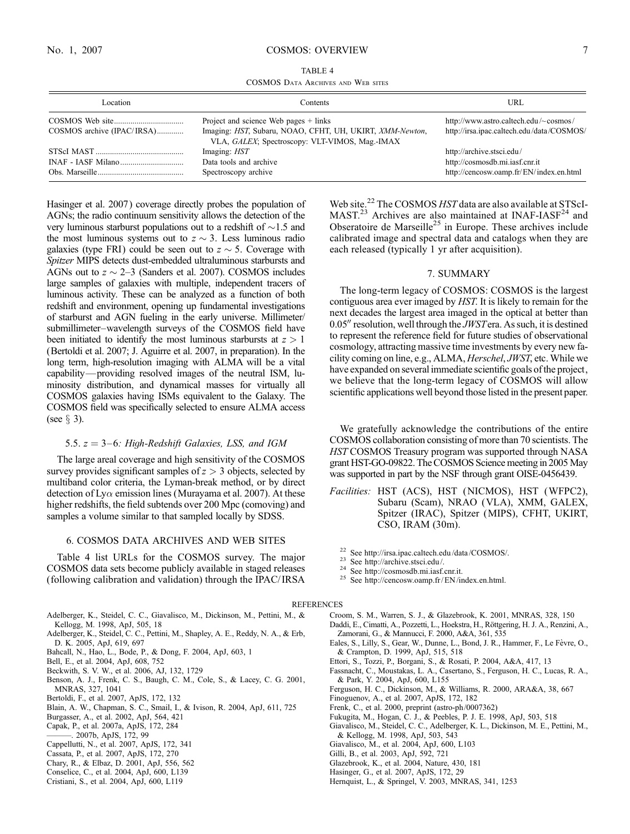| TABLE 4                                   |  |  |  |  |
|-------------------------------------------|--|--|--|--|
| <b>COSMOS DATA ARCHIVES AND WEB SITES</b> |  |  |  |  |

| Location                   | <b>Contents</b>                                                                                                                                       | URL                                                                                                    |
|----------------------------|-------------------------------------------------------------------------------------------------------------------------------------------------------|--------------------------------------------------------------------------------------------------------|
| COSMOS archive (IPAC/IRSA) | Project and science Web pages $+$ links<br>Imaging: HST, Subaru, NOAO, CFHT, UH, UKIRT, XMM-Newton,<br>VLA, GALEX; Spectroscopy: VLT-VIMOS, Mag.-IMAX | http://www.astro.caltech.edu/~cosmos/<br>http://irsa.ipac.caltech.edu/data/COSMOS/                     |
|                            | Imaging: <i>HST</i><br>Data tools and archive<br>Spectroscopy archive                                                                                 | http://archive.stsci.edu/<br>http://cosmosdb.mi.iasf.cnr.it<br>http://cencosw.oamp.fr/EN/index.en.html |

Hasinger et al. 2007) coverage directly probes the population of AGNs; the radio continuum sensitivity allows the detection of the very luminous starburst populations out to a redshift of  $\sim$ 1.5 and the most luminous systems out to  $z \sim 3$ . Less luminous radio galaxies (type FRI) could be seen out to  $z \sim 5$ . Coverage with Spitzer MIPS detects dust-embedded ultraluminous starbursts and AGNs out to  $z \sim 2-3$  (Sanders et al. 2007). COSMOS includes large samples of galaxies with multiple, independent tracers of luminous activity. These can be analyzed as a function of both redshift and environment, opening up fundamental investigations of starburst and AGN fueling in the early universe. Millimeter/ submillimeter-wavelength surveys of the COSMOS field have been initiated to identify the most luminous starbursts at  $z > 1$ (Bertoldi et al. 2007; J. Aguirre et al. 2007, in preparation). In the long term, high-resolution imaging with ALMA will be a vital capability—providing resolved images of the neutral ISM, luminosity distribution, and dynamical masses for virtually all COSMOS galaxies having ISMs equivalent to the Galaxy. The COSMOS field was specifically selected to ensure ALMA access (see  $\S$  3).

## 5.5.  $z = 3-6$ : High-Redshift Galaxies, LSS, and IGM

The large areal coverage and high sensitivity of the COSMOS survey provides significant samples of  $z > 3$  objects, selected by multiband color criteria, the Lyman-break method, or by direct detection of Ly $\alpha$  emission lines (Murayama et al. 2007). At these higher redshifts, the field subtends over 200 Mpc (comoving) and samples a volume similar to that sampled locally by SDSS.

## 6. COSMOS DATA ARCHIVES AND WEB SITES

Table 4 list URLs for the COSMOS survey. The major COSMOS data sets become publicly available in staged releases (following calibration and validation) through the IPAC/ IRSA

Adelberger, K., Steidel, C. C., Giavalisco, M., Dickinson, M., Pettini, M., &

- Kellogg, M. 1998, ApJ, 505, 18
- Adelberger, K., Steidel, C. C., Pettini, M., Shapley, A. E., Reddy, N. A., & Erb, D. K. 2005, ApJ, 619, 697
- Bahcall, N., Hao, L., Bode, P., & Dong, F. 2004, ApJ, 603, 1
- Bell, E., et al. 2004, ApJ, 608, 752
- Beckwith, S. V. W., et al. 2006, AJ, 132, 1729
- Benson, A. J., Frenk, C. S., Baugh, C. M., Cole, S., & Lacey, C. G. 2001, MNRAS, 327, 1041
- Bertoldi, F., et al. 2007, ApJS, 172, 132
- Blain, A. W., Chapman, S. C., Smail, I., & Ivison, R. 2004, ApJ, 611, 725
- Burgasser, A., et al. 2002, ApJ, 564, 421
- Capak, P., et al. 2007a, ApJS, 172, 284
- ———. 2007b, ApJS, 172, 99
- Cappellutti, N., et al. 2007, ApJS, 172, 341
- Cassata, P., et al. 2007, ApJS, 172, 270
- Chary, R., & Elbaz, D. 2001, ApJ, 556, 562
- Conselice, C., et al. 2004, ApJ, 600, L139
- Cristiani, S., et al. 2004, ApJ, 600, L119

Web site.<sup>22</sup> The COSMOS HST data are also available at STScI- $MAST.^{23}$  Archives are also maintained at INAF-IASF<sup>24</sup> and Obseratoire de Marseille<sup>25</sup> in Europe. These archives include calibrated image and spectral data and catalogs when they are each released (typically 1 yr after acquisition).

#### 7. SUMMARY

The long-term legacy of COSMOS: COSMOS is the largest contiguous area ever imaged by HST. It is likely to remain for the next decades the largest area imaged in the optical at better than  $0.05''$  resolution, well through the *JWST* era. As such, it is destined to represent the reference field for future studies of observational cosmology, attracting massive time investments by every new facility coming on line, e.g., ALMA, Herschel, JWST, etc. While we have expanded on several immediate scientific goals of the project, we believe that the long-term legacy of COSMOS will allow scientific applications well beyond those listed in the present paper.

We gratefully acknowledge the contributions of the entire COSMOS collaboration consisting of more than 70 scientists. The HST COSMOS Treasury program was supported through NASA grant HST-GO-09822. The COSMOS Science meeting in 2005 May was supported in part by the NSF through grant OISE-0456439.

- Facilities: HST (ACS), HST (NICMOS), HST (WFPC2), Subaru (Scam), NRAO (VLA), XMM, GALEX, Spitzer (IRAC), Spitzer (MIPS), CFHT, UKIRT, CSO, IRAM (30m).
	- <sup>22</sup> See http://irsa.ipac.caltech.edu/data/COSMOS/.<br><sup>23</sup> See http://archive.stsci.edu/.<br><sup>24</sup> See http://cosmosdb.mi.iasf.cnr.it. <sup>25</sup> See http://cencosw.oamp.fr/ EN/index.en.html.
	-
	-
	-
- REFERENCES
	- Croom, S. M., Warren, S. J., & Glazebrook, K. 2001, MNRAS, 328, 150 Daddi, E., Cimatti, A., Pozzetti, L., Hoekstra, H., Röttgering, H. J. A., Renzini, A.,
	- Zamorani, G., & Mannucci, F. 2000, A&A, 361, 535
	- Eales, S., Lilly, S., Gear, W., Dunne, L., Bond, J. R., Hammer, F., Le Fèvre, O., & Crampton, D. 1999, ApJ, 515, 518
	- Ettori, S., Tozzi, P., Borgani, S., & Rosati, P. 2004, A&A, 417, 13
	- Fassnacht, C., Moustakas, L. A., Casertano, S., Ferguson, H. C., Lucas, R. A., & Park, Y. 2004, ApJ, 600, L155
	- Ferguson, H. C., Dickinson, M., & Williams, R. 2000, ARA&A, 38, 667 Finoguenov, A., et al. 2007, ApJS, 172, 182
	- Frenk, C., et al. 2000, preprint (astro-ph/0007362)
	- Fukugita, M., Hogan, C. J., & Peebles, P. J. E. 1998, ApJ, 503, 518
	- Giavalisco, M., Steidel, C. C., Adelberger, K. L., Dickinson, M. E., Pettini, M.,
	- & Kellogg, M. 1998, ApJ, 503, 543
	- Giavalisco, M., et al. 2004, ApJ, 600, L103
	- Gilli, B., et al. 2003, ApJ, 592, 721
	- Glazebrook, K., et al. 2004, Nature, 430, 181
	- Hasinger, G., et al. 2007, ApJS, 172, 29
	- Hernquist, L., & Springel, V. 2003, MNRAS, 341, 1253